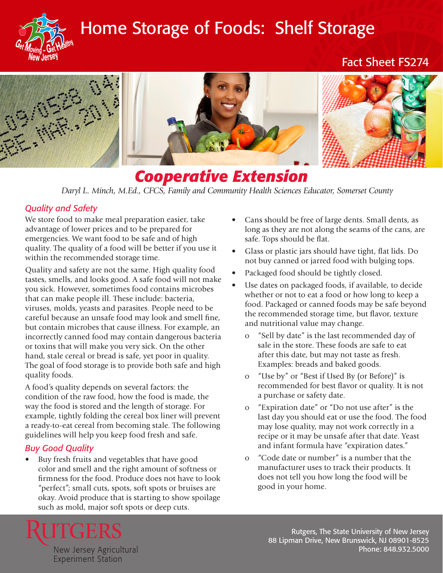

# Home Storage of Foods: Shelf Storage

Fact Sheet FS274



# *Cooperative Extension*

*Daryl L. Minch, M.Ed., CFCS, Family and Community Health Sciences Educator, Somerset County*

## *Quality and Safety*

We store food to make meal preparation easier, take advantage of lower prices and to be prepared for emergencies. We want food to be safe and of high quality. The quality of a food will be better if you use it within the recommended storage time.

Quality and safety are not the same. High quality food tastes, smells, and looks good. A safe food will not make you sick. However, sometimes food contains microbes that can make people ill. These include: bacteria, viruses, molds, yeasts and parasites. People need to be careful because an unsafe food may look and smell fine, but contain microbes that cause illness. For example, an incorrectly canned food may contain dangerous bacteria or toxins that will make you very sick. On the other hand, stale cereal or bread is safe, yet poor in quality. The goal of food storage is to provide both safe and high quality foods.

A food's quality depends on several factors: the condition of the raw food, how the food is made, the way the food is stored and the length of storage. For example, tightly folding the cereal box liner will prevent a ready-to-eat cereal from becoming stale. The following guidelines will help you keep food fresh and safe.

### *Buy Good Quality*

Buy fresh fruits and vegetables that have good color and smell and the right amount of softness or firmness for the food. Produce does not have to look "perfect"; small cuts, spots, soft spots or bruises are okay. Avoid produce that is starting to show spoilage such as mold, major soft spots or deep cuts.

- Cans should be free of large dents. Small dents, as long as they are not along the seams of the cans, are safe. Tops should be flat.
- Glass or plastic jars should have tight, flat lids. Do not buy canned or jarred food with bulging tops.
- Packaged food should be tightly closed.
- Use dates on packaged foods, if available, to decide whether or not to eat a food or how long to keep a food. Packaged or canned foods may be safe beyond the recommended storage time, but flavor, texture and nutritional value may change.
	- o "Sell by date" is the last recommended day of sale in the store. These foods are safe to eat after this date, but may not taste as fresh. Examples: breads and baked goods.
	- o "Use by" or "Best if Used By (or Before)" is recommended for best flavor or quality. It is not a purchase or safety date.
	- o "Expiration date" or "Do not use after" is the last day you should eat or use the food. The food may lose quality, may not work correctly in a recipe or it may be unsafe after that date. Yeast and infant formula have "expiration dates."
	- o "Code date or number" is a number that the manufacturer uses to track their products. It does not tell you how long the food will be good in your home.



Rutgers, The State University of New Jersey 88 Lipman Drive, New Brunswick, NJ 08901-8525 Phone: 848.932.5000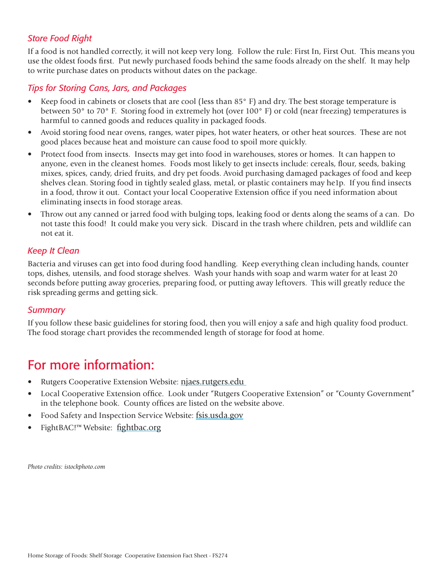# *Store Food Right*

If a food is not handled correctly, it will not keep very long. Follow the rule: First In, First Out. This means you use the oldest foods first. Put newly purchased foods behind the same foods already on the shelf. It may help to write purchase dates on products without dates on the package.

### *Tips for Storing Cans, Jars, and Packages*

- Keep food in cabinets or closets that are cool (less than 85° F) and dry. The best storage temperature is between 50° to 70° F. Storing food in extremely hot (over 100° F) or cold (near freezing) temperatures is harmful to canned goods and reduces quality in packaged foods.
- Avoid storing food near ovens, ranges, water pipes, hot water heaters, or other heat sources. These are not good places because heat and moisture can cause food to spoil more quickly.
- Protect food from insects. Insects may get into food in warehouses, stores or homes. It can happen to anyone, even in the cleanest homes. Foods most likely to get insects include: cereals, flour, seeds, baking mixes, spices, candy, dried fruits, and dry pet foods. Avoid purchasing damaged packages of food and keep shelves clean. Storing food in tightly sealed glass, metal, or plastic containers may he1p. If you find insects in a food, throw it out. Contact your local Cooperative Extension office if you need information about eliminating insects in food storage areas.
- Throw out any canned or jarred food with bulging tops, leaking food or dents along the seams of a can. Do not taste this food! It could make you very sick. Discard in the trash where children, pets and wildlife can not eat it.

#### *Keep It Clean*

Bacteria and viruses can get into food during food handling. Keep everything clean including hands, counter tops, dishes, utensils, and food storage shelves. Wash your hands with soap and warm water for at least 20 seconds before putting away groceries, preparing food, or putting away leftovers. This will greatly reduce the risk spreading germs and getting sick.

#### *Summary*

If you follow these basic guidelines for storing food, then you will enjoy a safe and high quality food product. The food storage chart provides the recommended length of storage for food at home.

# For more information:

- Rutgers Cooperative Extension Website: njaes.rutgers.edu
- Local Cooperative Extension office. Look under "Rutgers Cooperative Extension" or "County Government" in the telephone book. County offices are listed on the website above.
- Food Safety and Inspection Service Website: [fsis.usda.gov](http://www.fsis.usda.gov)
- FightBAC!™ Website: [fightbac.org](http://fightbac.org)

*Photo credits: istockphoto.com*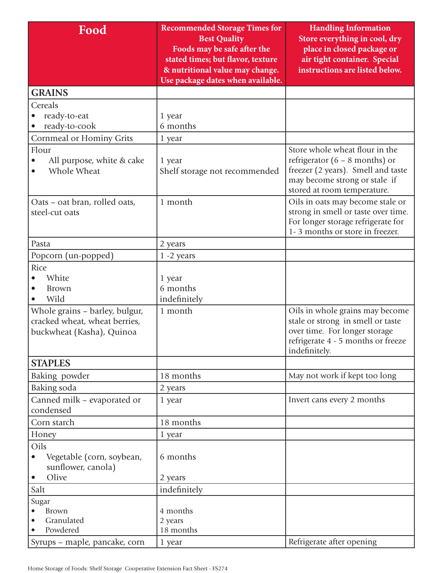| Food                                                                                         | <b>Recommended Storage Times for</b><br><b>Best Quality</b><br>Foods may be safe after the<br>stated times; but flavor, texture<br>& nutritional value may change.<br>Use package dates when available. | <b>Handling Information</b><br>Store everything in cool, dry<br>place in closed package or<br>air tight container. Special<br>instructions are listed below.             |
|----------------------------------------------------------------------------------------------|---------------------------------------------------------------------------------------------------------------------------------------------------------------------------------------------------------|--------------------------------------------------------------------------------------------------------------------------------------------------------------------------|
| <b>GRAINS</b>                                                                                |                                                                                                                                                                                                         |                                                                                                                                                                          |
| Cereals<br>ready-to-eat<br>ready-to-cook                                                     | 1 year<br>6 months                                                                                                                                                                                      |                                                                                                                                                                          |
| Cornmeal or Hominy Grits                                                                     | 1 year                                                                                                                                                                                                  |                                                                                                                                                                          |
| Flour<br>All purpose, white & cake<br>Whole Wheat                                            | 1 year<br>Shelf storage not recommended                                                                                                                                                                 | Store whole wheat flour in the<br>refrigerator $(6 - 8$ months) or<br>freezer (2 years). Smell and taste<br>may become strong or stale if<br>stored at room temperature. |
| Oats - oat bran, rolled oats,<br>steel-cut oats                                              | 1 month                                                                                                                                                                                                 | Oils in oats may become stale or<br>strong in smell or taste over time.<br>For longer storage refrigerate for<br>1-3 months or store in freezer.                         |
| Pasta                                                                                        | 2 years                                                                                                                                                                                                 |                                                                                                                                                                          |
| Popcorn (un-popped)                                                                          | $1 - 2$ years                                                                                                                                                                                           |                                                                                                                                                                          |
| Rice<br>White<br><b>Brown</b><br>$\bullet$<br>Wild                                           | 1 year<br>6 months<br>indefinitely                                                                                                                                                                      |                                                                                                                                                                          |
| Whole grains – barley, bulgur,<br>cracked wheat, wheat berries,<br>buckwheat (Kasha), Quinoa | 1 month                                                                                                                                                                                                 | Oils in whole grains may become<br>stale or strong in smell or taste<br>over time. For longer storage<br>refrigerate 4 - 5 months or freeze<br>indefinitely.             |
| <b>STAPLES</b>                                                                               |                                                                                                                                                                                                         |                                                                                                                                                                          |
| Baking powder                                                                                | 18 months                                                                                                                                                                                               | May not work if kept too long                                                                                                                                            |
| Baking soda                                                                                  | 2 years                                                                                                                                                                                                 |                                                                                                                                                                          |
| Canned milk - evaporated or<br>condensed                                                     | 1 year                                                                                                                                                                                                  | Invert cans every 2 months                                                                                                                                               |
| Corn starch                                                                                  | 18 months                                                                                                                                                                                               |                                                                                                                                                                          |
| Honey                                                                                        | 1 year                                                                                                                                                                                                  |                                                                                                                                                                          |
| Oils<br>Vegetable (corn, soybean,<br>$\bullet$<br>sunflower, canola)                         | 6 months                                                                                                                                                                                                |                                                                                                                                                                          |
| Olive<br>$\bullet$                                                                           | 2 years                                                                                                                                                                                                 |                                                                                                                                                                          |
| Salt                                                                                         | indefinitely                                                                                                                                                                                            |                                                                                                                                                                          |
| Sugar<br><b>Brown</b><br>Granulated<br>Powdered                                              | 4 months<br>2 years<br>18 months                                                                                                                                                                        |                                                                                                                                                                          |
| Syrups - maple, pancake, corn                                                                | 1 year                                                                                                                                                                                                  | Refrigerate after opening                                                                                                                                                |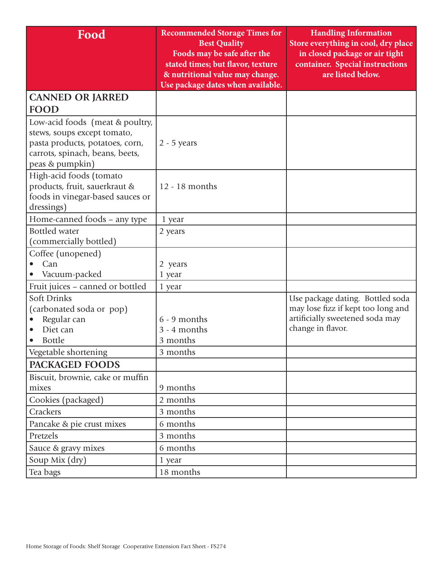| Food                                                                                                                                                    | <b>Recommended Storage Times for</b><br><b>Best Quality</b>                                         | <b>Handling Information</b><br>Store everything in cool, dry place                                                             |
|---------------------------------------------------------------------------------------------------------------------------------------------------------|-----------------------------------------------------------------------------------------------------|--------------------------------------------------------------------------------------------------------------------------------|
|                                                                                                                                                         | Foods may be safe after the<br>stated times; but flavor, texture<br>& nutritional value may change. | in closed package or air tight<br>container. Special instructions<br>are listed below.                                         |
|                                                                                                                                                         | Use package dates when available.                                                                   |                                                                                                                                |
| <b>CANNED OR JARRED</b>                                                                                                                                 |                                                                                                     |                                                                                                                                |
| <b>FOOD</b>                                                                                                                                             |                                                                                                     |                                                                                                                                |
| Low-acid foods (meat & poultry,<br>stews, soups except tomato,<br>pasta products, potatoes, corn,<br>carrots, spinach, beans, beets,<br>peas & pumpkin) | $2 - 5$ years                                                                                       |                                                                                                                                |
| High-acid foods (tomato<br>products, fruit, sauerkraut &<br>foods in vinegar-based sauces or<br>dressings)                                              | 12 - 18 months                                                                                      |                                                                                                                                |
| Home-canned foods - any type                                                                                                                            | 1 year                                                                                              |                                                                                                                                |
| <b>Bottled</b> water<br>(commercially bottled)                                                                                                          | 2 years                                                                                             |                                                                                                                                |
| Coffee (unopened)                                                                                                                                       |                                                                                                     |                                                                                                                                |
| Can                                                                                                                                                     | 2 years                                                                                             |                                                                                                                                |
| Vacuum-packed                                                                                                                                           | 1 year                                                                                              |                                                                                                                                |
| Fruit juices – canned or bottled                                                                                                                        | 1 year                                                                                              |                                                                                                                                |
| <b>Soft Drinks</b><br>(carbonated soda or pop)<br>Regular can<br>Diet can<br><b>Bottle</b>                                                              | $6 - 9$ months<br>3 - 4 months<br>3 months                                                          | Use package dating. Bottled soda<br>may lose fizz if kept too long and<br>artificially sweetened soda may<br>change in flavor. |
| Vegetable shortening                                                                                                                                    | 3 months                                                                                            |                                                                                                                                |
| PACKAGED FOODS                                                                                                                                          |                                                                                                     |                                                                                                                                |
| Biscuit, brownie, cake or muffin<br>mixes                                                                                                               | 9 months                                                                                            |                                                                                                                                |
| Cookies (packaged)                                                                                                                                      | 2 months                                                                                            |                                                                                                                                |
| <b>Crackers</b>                                                                                                                                         | 3 months                                                                                            |                                                                                                                                |
| Pancake & pie crust mixes                                                                                                                               | 6 months                                                                                            |                                                                                                                                |
| Pretzels                                                                                                                                                | 3 months                                                                                            |                                                                                                                                |
| Sauce & gravy mixes                                                                                                                                     | 6 months                                                                                            |                                                                                                                                |
| Soup Mix (dry)                                                                                                                                          | 1 year                                                                                              |                                                                                                                                |
| Tea bags                                                                                                                                                | 18 months                                                                                           |                                                                                                                                |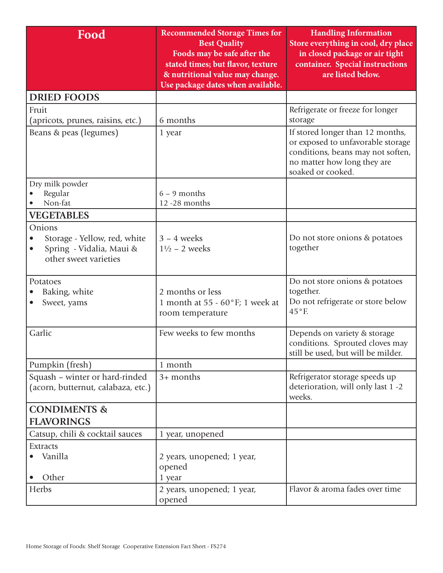| Food                                                                                                     | <b>Recommended Storage Times for</b><br><b>Best Quality</b><br>Foods may be safe after the<br>stated times; but flavor, texture<br>& nutritional value may change.<br>Use package dates when available. | <b>Handling Information</b><br>Store everything in cool, dry place<br>in closed package or air tight<br>container. Special instructions<br>are listed below.   |
|----------------------------------------------------------------------------------------------------------|---------------------------------------------------------------------------------------------------------------------------------------------------------------------------------------------------------|----------------------------------------------------------------------------------------------------------------------------------------------------------------|
| <b>DRIED FOODS</b>                                                                                       |                                                                                                                                                                                                         |                                                                                                                                                                |
| Fruit<br>(apricots, prunes, raisins, etc.)                                                               | 6 months                                                                                                                                                                                                | Refrigerate or freeze for longer<br>storage                                                                                                                    |
| Beans & peas (legumes)                                                                                   | 1 year                                                                                                                                                                                                  | If stored longer than 12 months,<br>or exposed to unfavorable storage<br>conditions, beans may not soften,<br>no matter how long they are<br>soaked or cooked. |
| Dry milk powder<br>Regular<br>Non-fat                                                                    | $6 - 9$ months<br>12-28 months                                                                                                                                                                          |                                                                                                                                                                |
| <b>VEGETABLES</b>                                                                                        |                                                                                                                                                                                                         |                                                                                                                                                                |
| Onions<br>Storage - Yellow, red, white<br>Spring - Vidalia, Maui &<br>$\bullet$<br>other sweet varieties | $3 - 4$ weeks<br>$1\frac{1}{2}$ – 2 weeks                                                                                                                                                               | Do not store onions & potatoes<br>together                                                                                                                     |
| Potatoes<br>Baking, white<br>Sweet, yams                                                                 | 2 months or less<br>1 month at 55 - $60^{\circ}$ F; 1 week at<br>room temperature                                                                                                                       | Do not store onions & potatoes<br>together.<br>Do not refrigerate or store below<br>$45^{\circ}$ F.                                                            |
| Garlic                                                                                                   | Few weeks to few months                                                                                                                                                                                 | Depends on variety & storage<br>conditions. Sprouted cloves may<br>still be used, but will be milder.                                                          |
| Pumpkin (fresh)                                                                                          | 1 month                                                                                                                                                                                                 |                                                                                                                                                                |
| Squash - winter or hard-rinded<br>(acorn, butternut, calabaza, etc.)                                     | $3+$ months                                                                                                                                                                                             | Refrigerator storage speeds up<br>deterioration, will only last 1 -2<br>weeks.                                                                                 |
| <b>CONDIMENTS &amp;</b><br><b>FLAVORINGS</b>                                                             |                                                                                                                                                                                                         |                                                                                                                                                                |
| Catsup, chili & cocktail sauces                                                                          | 1 year, unopened                                                                                                                                                                                        |                                                                                                                                                                |
| <b>Extracts</b><br>Vanilla<br>Other                                                                      | 2 years, unopened; 1 year,<br>opened<br>1 year                                                                                                                                                          |                                                                                                                                                                |
| Herbs                                                                                                    | 2 years, unopened; 1 year,<br>opened                                                                                                                                                                    | Flavor & aroma fades over time                                                                                                                                 |